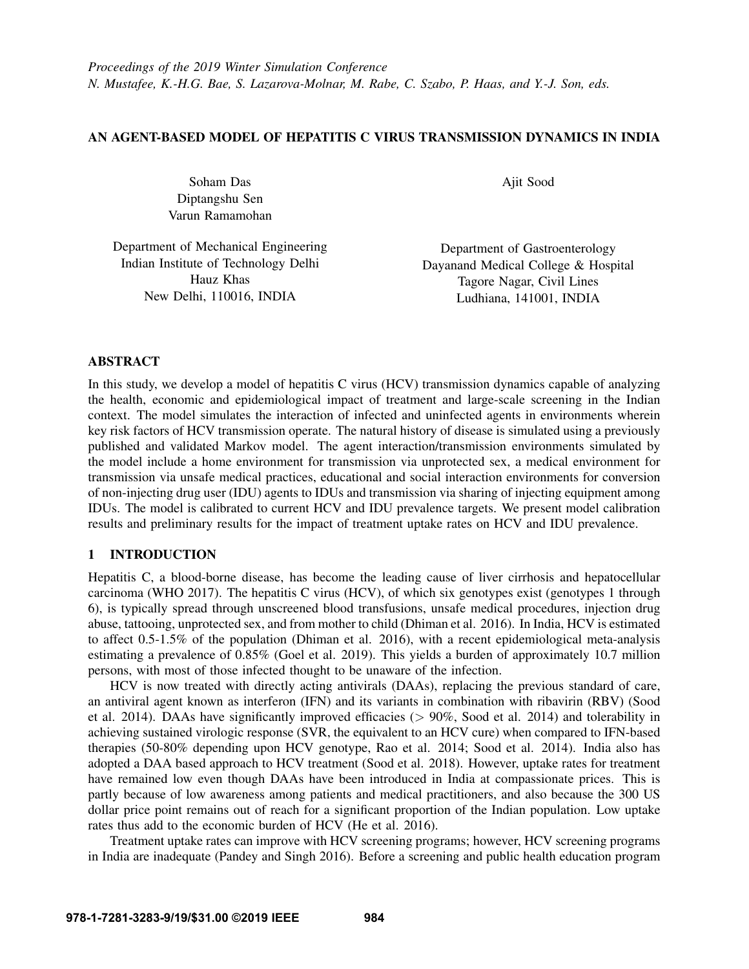# AN AGENT-BASED MODEL OF HEPATITIS C VIRUS TRANSMISSION DYNAMICS IN INDIA

Soham Das Diptangshu Sen Varun Ramamohan Ajit Sood

| Department of Mechanical Engineering | Department    |
|--------------------------------------|---------------|
| Indian Institute of Technology Delhi | Dayanand Medi |
| Hauz Khas                            | Tagore N      |
| New Delhi, 110016, INDIA             | Ludhiana.     |

of Gastroenterology cal College & Hospital agar, Civil Lines 141001, INDIA

# ABSTRACT

In this study, we develop a model of hepatitis C virus (HCV) transmission dynamics capable of analyzing the health, economic and epidemiological impact of treatment and large-scale screening in the Indian context. The model simulates the interaction of infected and uninfected agents in environments wherein key risk factors of HCV transmission operate. The natural history of disease is simulated using a previously published and validated Markov model. The agent interaction/transmission environments simulated by the model include a home environment for transmission via unprotected sex, a medical environment for transmission via unsafe medical practices, educational and social interaction environments for conversion of non-injecting drug user (IDU) agents to IDUs and transmission via sharing of injecting equipment among IDUs. The model is calibrated to current HCV and IDU prevalence targets. We present model calibration results and preliminary results for the impact of treatment uptake rates on HCV and IDU prevalence.

# 1 INTRODUCTION

Hepatitis C, a blood-borne disease, has become the leading cause of liver cirrhosis and hepatocellular carcinoma [\(WHO 2017\)](#page-11-0). The hepatitis C virus (HCV), of which six genotypes exist (genotypes 1 through 6), is typically spread through unscreened blood transfusions, unsafe medical procedures, injection drug abuse, tattooing, unprotected sex, and from mother to child [\(Dhiman et al. 2016\)](#page-10-0). In India, HCV is estimated to affect 0.5-1.5% of the population [\(Dhiman et al. 2016\)](#page-10-0), with a recent epidemiological meta-analysis estimating a prevalence of 0.85% [\(Goel et al. 2019\)](#page-10-1). This yields a burden of approximately 10.7 million persons, with most of those infected thought to be unaware of the infection.

HCV is now treated with directly acting antivirals (DAAs), replacing the previous standard of care, an antiviral agent known as interferon (IFN) and its variants in combination with ribavirin (RBV) [\(Sood](#page-11-1) [et al. 2014\)](#page-11-1). DAAs have significantly improved efficacies ( $> 90\%$ , [Sood et al. 2014\)](#page-11-1) and tolerability in achieving sustained virologic response (SVR, the equivalent to an HCV cure) when compared to IFN-based therapies (50-80% depending upon HCV genotype, [Rao et al. 2014;](#page-11-2) [Sood et al. 2014\)](#page-11-1). India also has adopted a DAA based approach to HCV treatment [\(Sood et al. 2018\)](#page-11-3). However, uptake rates for treatment have remained low even though DAAs have been introduced in India at compassionate prices. This is partly because of low awareness among patients and medical practitioners, and also because the 300 US dollar price point remains out of reach for a significant proportion of the Indian population. Low uptake rates thus add to the economic burden of HCV [\(He et al. 2016\)](#page-11-4).

Treatment uptake rates can improve with HCV screening programs; however, HCV screening programs in India are inadequate [\(Pandey and Singh 2016\)](#page-11-5). Before a screening and public health education program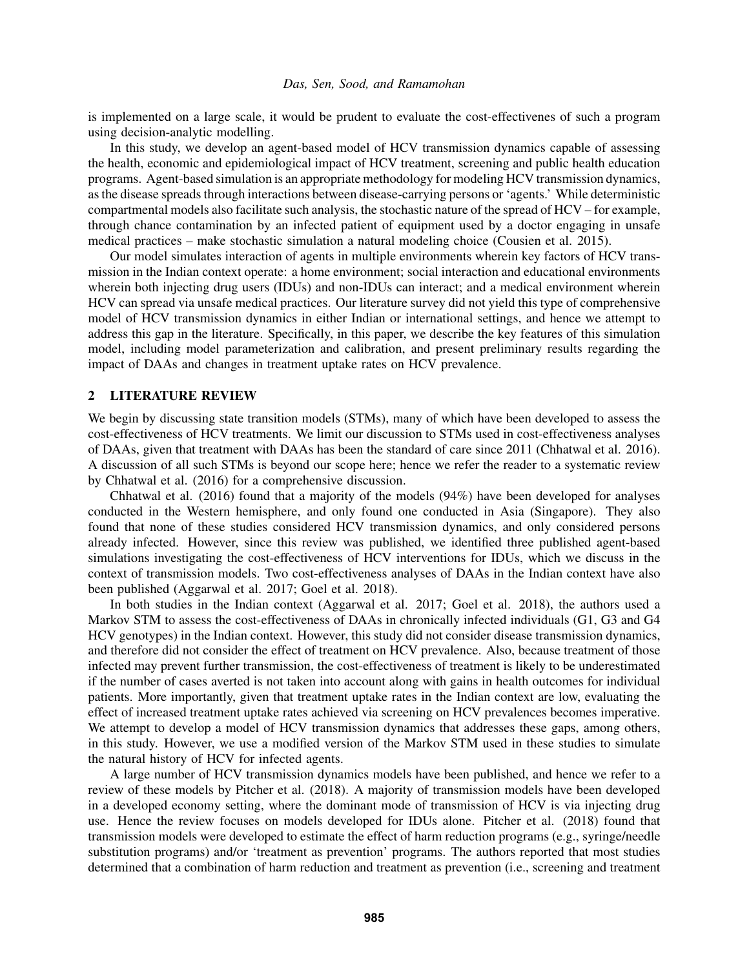is implemented on a large scale, it would be prudent to evaluate the cost-effectivenes of such a program using decision-analytic modelling.

In this study, we develop an agent-based model of HCV transmission dynamics capable of assessing the health, economic and epidemiological impact of HCV treatment, screening and public health education programs. Agent-based simulation is an appropriate methodology for modeling HCV transmission dynamics, as the disease spreads through interactions between disease-carrying persons or 'agents.' While deterministic compartmental models also facilitate such analysis, the stochastic nature of the spread of HCV – for example, through chance contamination by an infected patient of equipment used by a doctor engaging in unsafe medical practices – make stochastic simulation a natural modeling choice [\(Cousien et al. 2015\)](#page-10-2).

Our model simulates interaction of agents in multiple environments wherein key factors of HCV transmission in the Indian context operate: a home environment; social interaction and educational environments wherein both injecting drug users (IDUs) and non-IDUs can interact; and a medical environment wherein HCV can spread via unsafe medical practices. Our literature survey did not yield this type of comprehensive model of HCV transmission dynamics in either Indian or international settings, and hence we attempt to address this gap in the literature. Specifically, in this paper, we describe the key features of this simulation model, including model parameterization and calibration, and present preliminary results regarding the impact of DAAs and changes in treatment uptake rates on HCV prevalence.

#### 2 LITERATURE REVIEW

We begin by discussing state transition models (STMs), many of which have been developed to assess the cost-effectiveness of HCV treatments. We limit our discussion to STMs used in cost-effectiveness analyses of DAAs, given that treatment with DAAs has been the standard of care since 2011 [\(Chhatwal et al. 2016\)](#page-10-3). A discussion of all such STMs is beyond our scope here; hence we refer the reader to a systematic review by [Chhatwal et al. \(2016\)](#page-10-3) for a comprehensive discussion.

[Chhatwal et al. \(2016\)](#page-10-3) found that a majority of the models (94%) have been developed for analyses conducted in the Western hemisphere, and only found one conducted in Asia (Singapore). They also found that none of these studies considered HCV transmission dynamics, and only considered persons already infected. However, since this review was published, we identified three published agent-based simulations investigating the cost-effectiveness of HCV interventions for IDUs, which we discuss in the context of transmission models. Two cost-effectiveness analyses of DAAs in the Indian context have also been published [\(Aggarwal et al. 2017;](#page-10-4) [Goel et al. 2018\)](#page-10-5).

In both studies in the Indian context [\(Aggarwal et al. 2017;](#page-10-4) [Goel et al. 2018\)](#page-10-5), the authors used a Markov STM to assess the cost-effectiveness of DAAs in chronically infected individuals (G1, G3 and G4 HCV genotypes) in the Indian context. However, this study did not consider disease transmission dynamics, and therefore did not consider the effect of treatment on HCV prevalence. Also, because treatment of those infected may prevent further transmission, the cost-effectiveness of treatment is likely to be underestimated if the number of cases averted is not taken into account along with gains in health outcomes for individual patients. More importantly, given that treatment uptake rates in the Indian context are low, evaluating the effect of increased treatment uptake rates achieved via screening on HCV prevalences becomes imperative. We attempt to develop a model of HCV transmission dynamics that addresses these gaps, among others, in this study. However, we use a modified version of the Markov STM used in these studies to simulate the natural history of HCV for infected agents.

A large number of HCV transmission dynamics models have been published, and hence we refer to a review of these models by Pitcher et al. (2018). A majority of transmission models have been developed in a developed economy setting, where the dominant mode of transmission of HCV is via injecting drug use. Hence the review focuses on models developed for IDUs alone. [Pitcher et al. \(2018\)](#page-11-6) found that transmission models were developed to estimate the effect of harm reduction programs (e.g., syringe/needle substitution programs) and/or 'treatment as prevention' programs. The authors reported that most studies determined that a combination of harm reduction and treatment as prevention (i.e., screening and treatment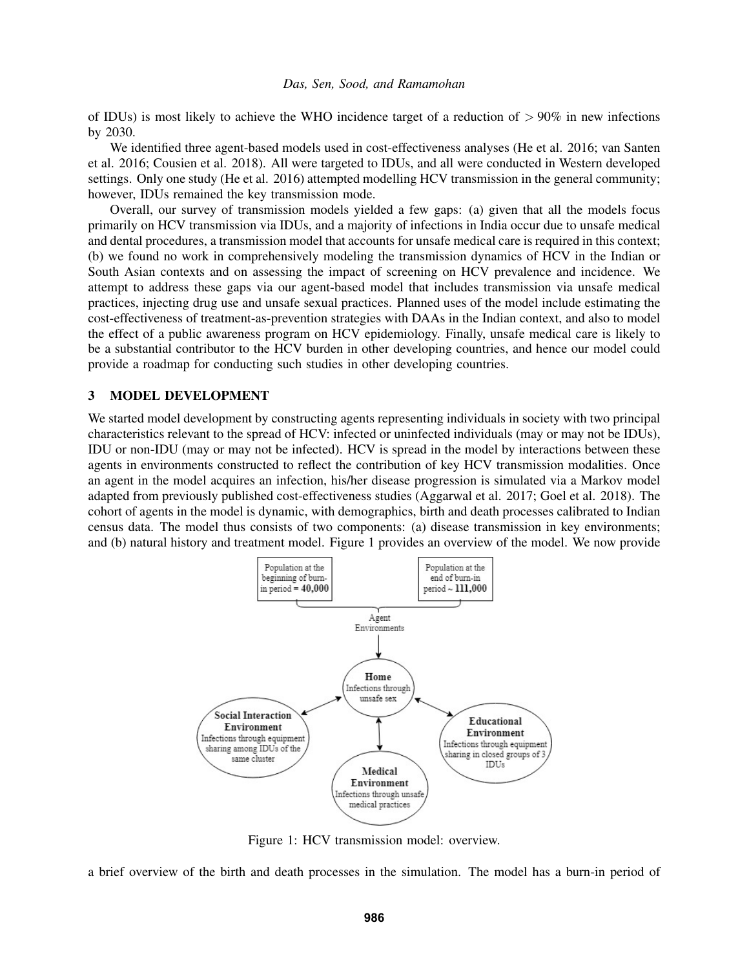of IDUs) is most likely to achieve the WHO incidence target of a reduction of  $> 90\%$  in new infections by 2030.

We identified three agent-based models used in cost-effectiveness analyses [\(He et al. 2016;](#page-11-4) [van Santen](#page-11-7) [et al. 2016;](#page-11-7) [Cousien et al. 2018\)](#page-10-6). All were targeted to IDUs, and all were conducted in Western developed settings. Only one study [\(He et al. 2016\)](#page-11-4) attempted modelling HCV transmission in the general community; however, IDUs remained the key transmission mode.

Overall, our survey of transmission models yielded a few gaps: (a) given that all the models focus primarily on HCV transmission via IDUs, and a majority of infections in India occur due to unsafe medical and dental procedures, a transmission model that accounts for unsafe medical care is required in this context; (b) we found no work in comprehensively modeling the transmission dynamics of HCV in the Indian or South Asian contexts and on assessing the impact of screening on HCV prevalence and incidence. We attempt to address these gaps via our agent-based model that includes transmission via unsafe medical practices, injecting drug use and unsafe sexual practices. Planned uses of the model include estimating the cost-effectiveness of treatment-as-prevention strategies with DAAs in the Indian context, and also to model the effect of a public awareness program on HCV epidemiology. Finally, unsafe medical care is likely to be a substantial contributor to the HCV burden in other developing countries, and hence our model could provide a roadmap for conducting such studies in other developing countries.

## <span id="page-2-1"></span>3 MODEL DEVELOPMENT

We started model development by constructing agents representing individuals in society with two principal characteristics relevant to the spread of HCV: infected or uninfected individuals (may or may not be IDUs), IDU or non-IDU (may or may not be infected). HCV is spread in the model by interactions between these agents in environments constructed to reflect the contribution of key HCV transmission modalities. Once an agent in the model acquires an infection, his/her disease progression is simulated via a Markov model adapted from previously published cost-effectiveness studies [\(Aggarwal et al. 2017;](#page-10-4) [Goel et al. 2018\)](#page-10-5). The cohort of agents in the model is dynamic, with demographics, birth and death processes calibrated to Indian census data. The model thus consists of two components: (a) disease transmission in key environments; and (b) natural history and treatment model. Figure [1](#page-2-0) provides an overview of the model. We now provide

<span id="page-2-0"></span>

Figure 1: HCV transmission model: overview.

a brief overview of the birth and death processes in the simulation. The model has a burn-in period of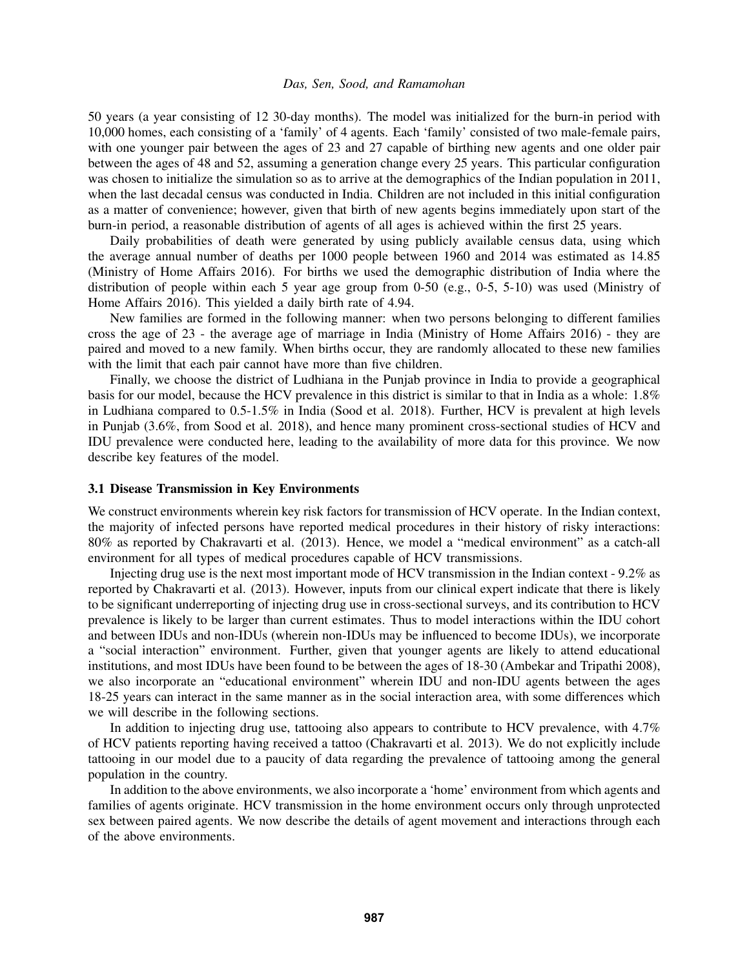50 years (a year consisting of 12 30-day months). The model was initialized for the burn-in period with 10,000 homes, each consisting of a 'family' of 4 agents. Each 'family' consisted of two male-female pairs, with one younger pair between the ages of 23 and 27 capable of birthing new agents and one older pair between the ages of 48 and 52, assuming a generation change every 25 years. This particular configuration was chosen to initialize the simulation so as to arrive at the demographics of the Indian population in 2011, when the last decadal census was conducted in India. Children are not included in this initial configuration as a matter of convenience; however, given that birth of new agents begins immediately upon start of the burn-in period, a reasonable distribution of agents of all ages is achieved within the first 25 years.

Daily probabilities of death were generated by using publicly available census data, using which the average annual number of deaths per 1000 people between 1960 and 2014 was estimated as 14.85 [\(Ministry of Home Affairs 2016\)](#page-11-8). For births we used the demographic distribution of India where the distribution of people within each 5 year age group from 0-50 (e.g., 0-5, 5-10) was used [\(Ministry of](#page-11-8) [Home Affairs 2016\)](#page-11-8). This yielded a daily birth rate of 4.94.

New families are formed in the following manner: when two persons belonging to different families cross the age of 23 - the average age of marriage in India [\(Ministry of Home Affairs 2016\)](#page-11-8) - they are paired and moved to a new family. When births occur, they are randomly allocated to these new families with the limit that each pair cannot have more than five children.

Finally, we choose the district of Ludhiana in the Punjab province in India to provide a geographical basis for our model, because the HCV prevalence in this district is similar to that in India as a whole: 1.8% in Ludhiana compared to 0.5-1.5% in India [\(Sood et al. 2018\)](#page-11-3). Further, HCV is prevalent at high levels in Punjab (3.6%, from Sood et al. 2018), and hence many prominent cross-sectional studies of HCV and IDU prevalence were conducted here, leading to the availability of more data for this province. We now describe key features of the model.

## 3.1 Disease Transmission in Key Environments

We construct environments wherein key risk factors for transmission of HCV operate. In the Indian context, the majority of infected persons have reported medical procedures in their history of risky interactions: 80% as reported by [Chakravarti et al. \(2013\).](#page-10-7) Hence, we model a "medical environment" as a catch-all environment for all types of medical procedures capable of HCV transmissions.

Injecting drug use is the next most important mode of HCV transmission in the Indian context - 9.2% as reported by [Chakravarti et al. \(2013\).](#page-10-7) However, inputs from our clinical expert indicate that there is likely to be significant underreporting of injecting drug use in cross-sectional surveys, and its contribution to HCV prevalence is likely to be larger than current estimates. Thus to model interactions within the IDU cohort and between IDUs and non-IDUs (wherein non-IDUs may be influenced to become IDUs), we incorporate a "social interaction" environment. Further, given that younger agents are likely to attend educational institutions, and most IDUs have been found to be between the ages of 18-30 [\(Ambekar and Tripathi 2008\)](#page-10-8), we also incorporate an "educational environment" wherein IDU and non-IDU agents between the ages 18-25 years can interact in the same manner as in the social interaction area, with some differences which we will describe in the following sections.

In addition to injecting drug use, tattooing also appears to contribute to HCV prevalence, with 4.7% of HCV patients reporting having received a tattoo [\(Chakravarti et al. 2013\)](#page-10-7). We do not explicitly include tattooing in our model due to a paucity of data regarding the prevalence of tattooing among the general population in the country.

In addition to the above environments, we also incorporate a 'home' environment from which agents and families of agents originate. HCV transmission in the home environment occurs only through unprotected sex between paired agents. We now describe the details of agent movement and interactions through each of the above environments.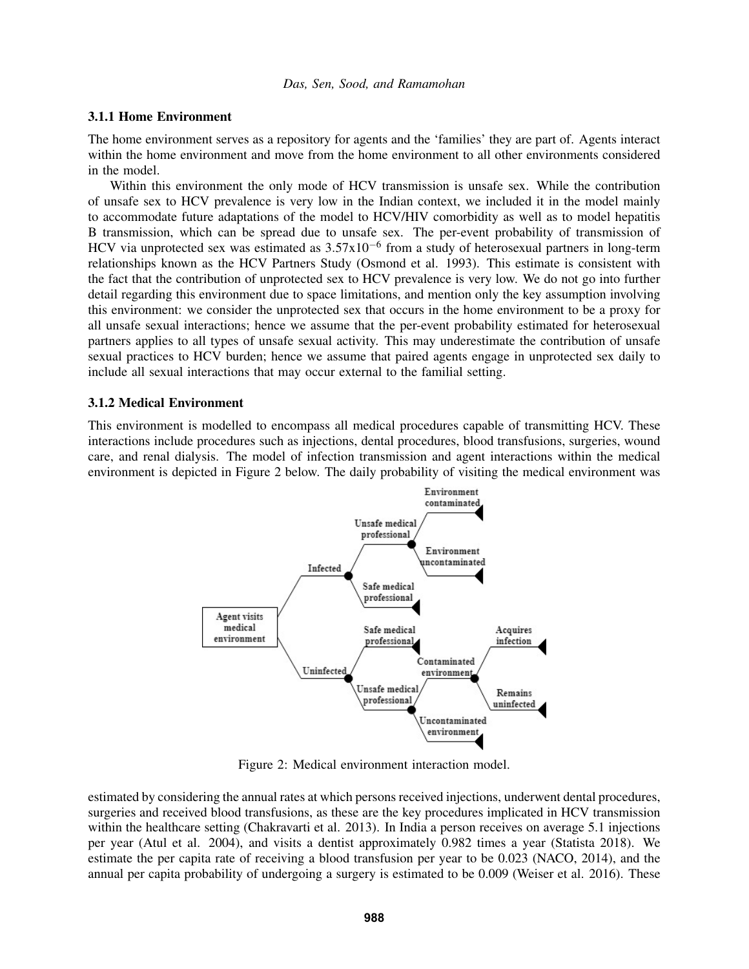### 3.1.1 Home Environment

The home environment serves as a repository for agents and the 'families' they are part of. Agents interact within the home environment and move from the home environment to all other environments considered in the model.

Within this environment the only mode of HCV transmission is unsafe sex. While the contribution of unsafe sex to HCV prevalence is very low in the Indian context, we included it in the model mainly to accommodate future adaptations of the model to HCV/HIV comorbidity as well as to model hepatitis B transmission, which can be spread due to unsafe sex. The per-event probability of transmission of HCV via unprotected sex was estimated as 3.57x10<sup>-6</sup> from a study of heterosexual partners in long-term relationships known as the HCV Partners Study [\(Osmond et al. 1993\)](#page-11-9). This estimate is consistent with the fact that the contribution of unprotected sex to HCV prevalence is very low. We do not go into further detail regarding this environment due to space limitations, and mention only the key assumption involving this environment: we consider the unprotected sex that occurs in the home environment to be a proxy for all unsafe sexual interactions; hence we assume that the per-event probability estimated for heterosexual partners applies to all types of unsafe sexual activity. This may underestimate the contribution of unsafe sexual practices to HCV burden; hence we assume that paired agents engage in unprotected sex daily to include all sexual interactions that may occur external to the familial setting.

# 3.1.2 Medical Environment

<span id="page-4-0"></span>This environment is modelled to encompass all medical procedures capable of transmitting HCV. These interactions include procedures such as injections, dental procedures, blood transfusions, surgeries, wound care, and renal dialysis. The model of infection transmission and agent interactions within the medical environment is depicted in Figure [2](#page-4-0) below. The daily probability of visiting the medical environment was



Figure 2: Medical environment interaction model.

estimated by considering the annual rates at which persons received injections, underwent dental procedures, surgeries and received blood transfusions, as these are the key procedures implicated in HCV transmission within the healthcare setting [\(Chakravarti et al. 2013\)](#page-10-7). In India a person receives on average 5.1 injections per year [\(Atul et al. 2004\)](#page-10-9), and visits a dentist approximately 0.982 times a year [\(Statista 2018\)](#page-11-10). We estimate the per capita rate of receiving a blood transfusion per year to be 0.023 (NACO, 2014), and the annual per capita probability of undergoing a surgery is estimated to be 0.009 [\(Weiser et al. 2016\)](#page-11-11). These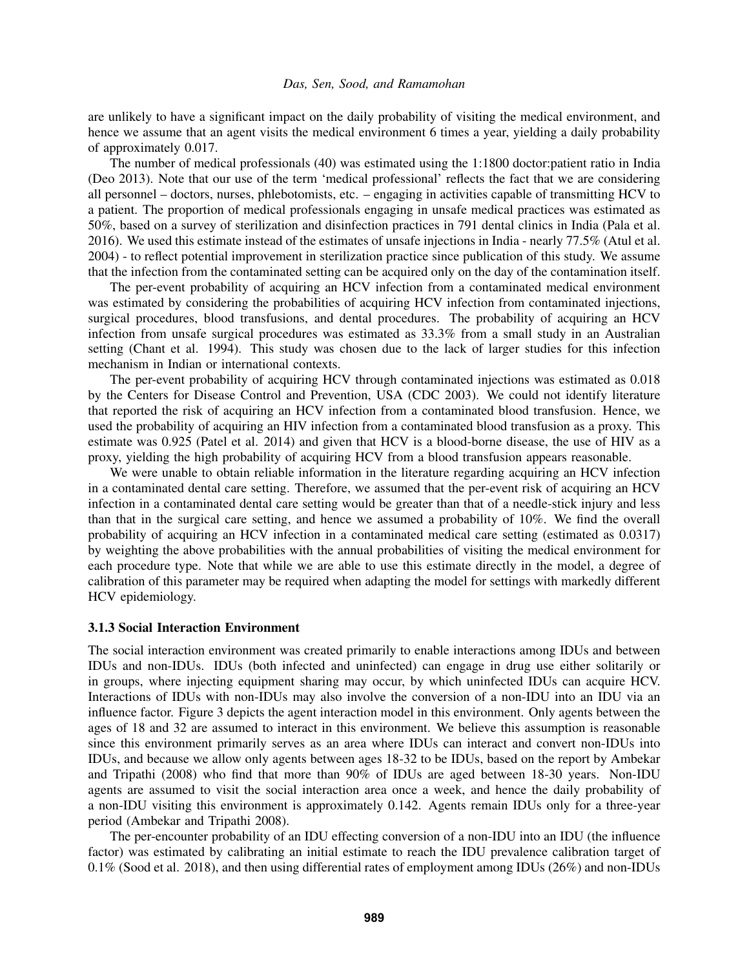are unlikely to have a significant impact on the daily probability of visiting the medical environment, and hence we assume that an agent visits the medical environment 6 times a year, yielding a daily probability of approximately 0.017.

The number of medical professionals (40) was estimated using the 1:1800 doctor:patient ratio in India [\(Deo 2013\)](#page-10-10). Note that our use of the term 'medical professional' reflects the fact that we are considering all personnel – doctors, nurses, phlebotomists, etc. – engaging in activities capable of transmitting HCV to a patient. The proportion of medical professionals engaging in unsafe medical practices was estimated as 50%, based on a survey of sterilization and disinfection practices in 791 dental clinics in India [\(Pala et al.](#page-11-12) [2016\)](#page-11-12). We used this estimate instead of the estimates of unsafe injections in India - nearly 77.5% [\(Atul et al.](#page-10-9) [2004\)](#page-10-9) - to reflect potential improvement in sterilization practice since publication of this study. We assume that the infection from the contaminated setting can be acquired only on the day of the contamination itself.

The per-event probability of acquiring an HCV infection from a contaminated medical environment was estimated by considering the probabilities of acquiring HCV infection from contaminated injections, surgical procedures, blood transfusions, and dental procedures. The probability of acquiring an HCV infection from unsafe surgical procedures was estimated as 33.3% from a small study in an Australian setting [\(Chant et al. 1994\)](#page-10-11). This study was chosen due to the lack of larger studies for this infection mechanism in Indian or international contexts.

The per-event probability of acquiring HCV through contaminated injections was estimated as 0.018 by the Centers for Disease Control and Prevention, USA [\(CDC 2003\)](#page-10-12). We could not identify literature that reported the risk of acquiring an HCV infection from a contaminated blood transfusion. Hence, we used the probability of acquiring an HIV infection from a contaminated blood transfusion as a proxy. This estimate was 0.925 [\(Patel et al. 2014\)](#page-11-13) and given that HCV is a blood-borne disease, the use of HIV as a proxy, yielding the high probability of acquiring HCV from a blood transfusion appears reasonable.

We were unable to obtain reliable information in the literature regarding acquiring an HCV infection in a contaminated dental care setting. Therefore, we assumed that the per-event risk of acquiring an HCV infection in a contaminated dental care setting would be greater than that of a needle-stick injury and less than that in the surgical care setting, and hence we assumed a probability of 10%. We find the overall probability of acquiring an HCV infection in a contaminated medical care setting (estimated as 0.0317) by weighting the above probabilities with the annual probabilities of visiting the medical environment for each procedure type. Note that while we are able to use this estimate directly in the model, a degree of calibration of this parameter may be required when adapting the model for settings with markedly different HCV epidemiology.

### 3.1.3 Social Interaction Environment

The social interaction environment was created primarily to enable interactions among IDUs and between IDUs and non-IDUs. IDUs (both infected and uninfected) can engage in drug use either solitarily or in groups, where injecting equipment sharing may occur, by which uninfected IDUs can acquire HCV. Interactions of IDUs with non-IDUs may also involve the conversion of a non-IDU into an IDU via an influence factor. Figure [3](#page-6-0) depicts the agent interaction model in this environment. Only agents between the ages of 18 and 32 are assumed to interact in this environment. We believe this assumption is reasonable since this environment primarily serves as an area where IDUs can interact and convert non-IDUs into IDUs, and because we allow only agents between ages 18-32 to be IDUs, based on the report by [Ambekar](#page-10-8) [and Tripathi \(2008\)](#page-10-8) who find that more than 90% of IDUs are aged between 18-30 years. Non-IDU agents are assumed to visit the social interaction area once a week, and hence the daily probability of a non-IDU visiting this environment is approximately 0.142. Agents remain IDUs only for a three-year period [\(Ambekar and Tripathi 2008\)](#page-10-8).

The per-encounter probability of an IDU effecting conversion of a non-IDU into an IDU (the influence factor) was estimated by calibrating an initial estimate to reach the IDU prevalence calibration target of 0.1% [\(Sood et al. 2018\)](#page-11-3), and then using differential rates of employment among IDUs (26%) and non-IDUs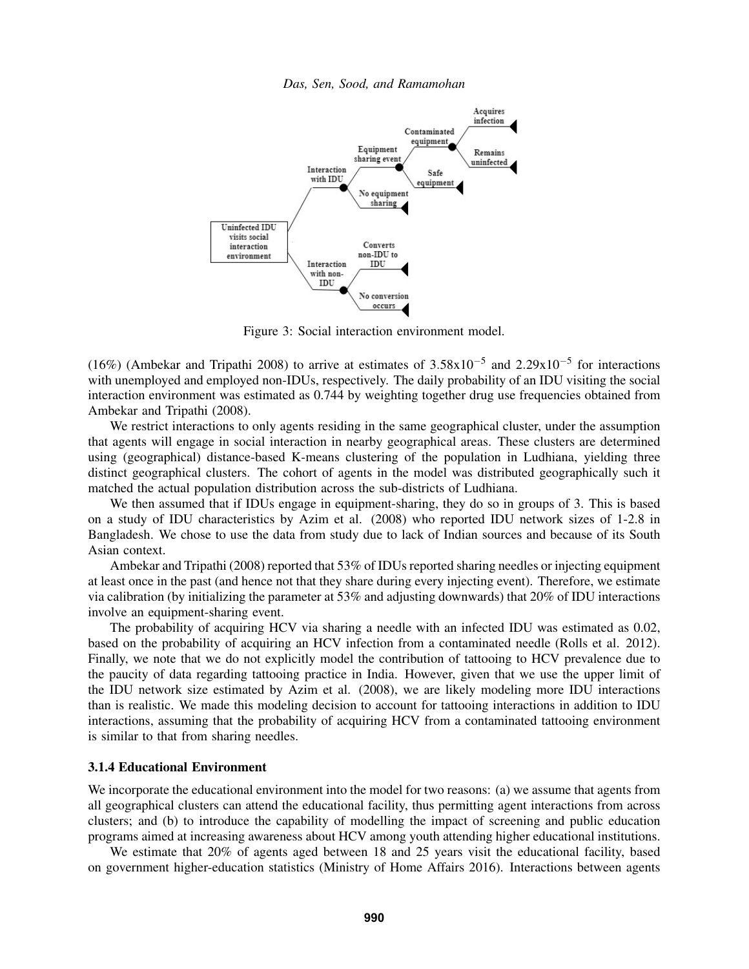<span id="page-6-0"></span>

Figure 3: Social interaction environment model.

(16%) [\(Ambekar and Tripathi 2008\)](#page-10-8) to arrive at estimates of  $3.58 \times 10^{-5}$  and  $2.29 \times 10^{-5}$  for interactions with unemployed and employed non-IDUs, respectively. The daily probability of an IDU visiting the social interaction environment was estimated as 0.744 by weighting together drug use frequencies obtained from [Ambekar and Tripathi \(2008\).](#page-10-8)

We restrict interactions to only agents residing in the same geographical cluster, under the assumption that agents will engage in social interaction in nearby geographical areas. These clusters are determined using (geographical) distance-based K-means clustering of the population in Ludhiana, yielding three distinct geographical clusters. The cohort of agents in the model was distributed geographically such it matched the actual population distribution across the sub-districts of Ludhiana.

We then assumed that if IDUs engage in equipment-sharing, they do so in groups of 3. This is based on a study of IDU characteristics by [Azim et al. \(2008\)](#page-10-13) who reported IDU network sizes of 1-2.8 in Bangladesh. We chose to use the data from study due to lack of Indian sources and because of its South Asian context.

[Ambekar and Tripathi \(2008\)](#page-10-8) reported that 53% of IDUs reported sharing needles or injecting equipment at least once in the past (and hence not that they share during every injecting event). Therefore, we estimate via calibration (by initializing the parameter at 53% and adjusting downwards) that 20% of IDU interactions involve an equipment-sharing event.

The probability of acquiring HCV via sharing a needle with an infected IDU was estimated as 0.02, based on the probability of acquiring an HCV infection from a contaminated needle [\(Rolls et al. 2012\)](#page-11-14). Finally, we note that we do not explicitly model the contribution of tattooing to HCV prevalence due to the paucity of data regarding tattooing practice in India. However, given that we use the upper limit of the IDU network size estimated by [Azim et al. \(2008\),](#page-10-13) we are likely modeling more IDU interactions than is realistic. We made this modeling decision to account for tattooing interactions in addition to IDU interactions, assuming that the probability of acquiring HCV from a contaminated tattooing environment is similar to that from sharing needles.

### 3.1.4 Educational Environment

We incorporate the educational environment into the model for two reasons: (a) we assume that agents from all geographical clusters can attend the educational facility, thus permitting agent interactions from across clusters; and (b) to introduce the capability of modelling the impact of screening and public education programs aimed at increasing awareness about HCV among youth attending higher educational institutions.

We estimate that 20% of agents aged between 18 and 25 years visit the educational facility, based on government higher-education statistics [\(Ministry of Home Affairs 2016\)](#page-11-8). Interactions between agents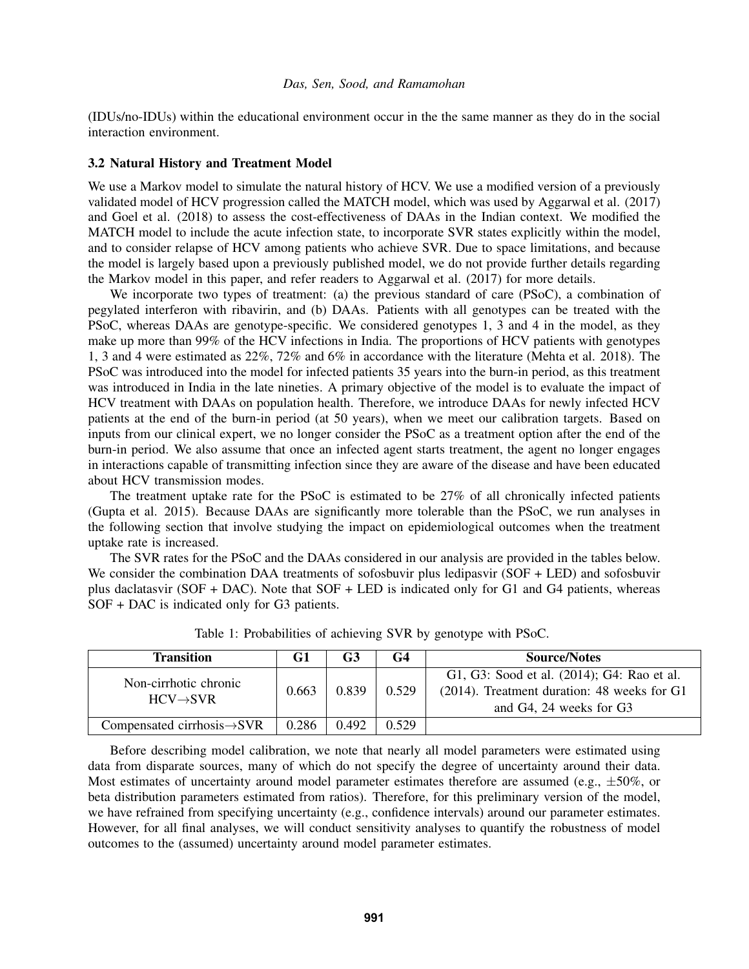(IDUs/no-IDUs) within the educational environment occur in the the same manner as they do in the social interaction environment.

### 3.2 Natural History and Treatment Model

We use a Markov model to simulate the natural history of HCV. We use a modified version of a previously validated model of HCV progression called the MATCH model, which was used by [Aggarwal et al. \(2017\)](#page-10-4) and [Goel et al. \(2018\)](#page-10-5) to assess the cost-effectiveness of DAAs in the Indian context. We modified the MATCH model to include the acute infection state, to incorporate SVR states explicitly within the model, and to consider relapse of HCV among patients who achieve SVR. Due to space limitations, and because the model is largely based upon a previously published model, we do not provide further details regarding the Markov model in this paper, and refer readers to [Aggarwal et al. \(2017\)](#page-10-4) for more details.

We incorporate two types of treatment: (a) the previous standard of care (PSoC), a combination of pegylated interferon with ribavirin, and (b) DAAs. Patients with all genotypes can be treated with the PSoC, whereas DAAs are genotype-specific. We considered genotypes 1, 3 and 4 in the model, as they make up more than 99% of the HCV infections in India. The proportions of HCV patients with genotypes 1, 3 and 4 were estimated as 22%, 72% and 6% in accordance with the literature [\(Mehta et al. 2018\)](#page-11-15). The PSoC was introduced into the model for infected patients 35 years into the burn-in period, as this treatment was introduced in India in the late nineties. A primary objective of the model is to evaluate the impact of HCV treatment with DAAs on population health. Therefore, we introduce DAAs for newly infected HCV patients at the end of the burn-in period (at 50 years), when we meet our calibration targets. Based on inputs from our clinical expert, we no longer consider the PSoC as a treatment option after the end of the burn-in period. We also assume that once an infected agent starts treatment, the agent no longer engages in interactions capable of transmitting infection since they are aware of the disease and have been educated about HCV transmission modes.

The treatment uptake rate for the PSoC is estimated to be 27% of all chronically infected patients [\(Gupta et al. 2015\)](#page-11-16). Because DAAs are significantly more tolerable than the PSoC, we run analyses in the following section that involve studying the impact on epidemiological outcomes when the treatment uptake rate is increased.

The SVR rates for the PSoC and the DAAs considered in our analysis are provided in the tables below. We consider the combination DAA treatments of sofosbuvir plus ledipasvir (SOF + LED) and sofosbuvir plus daclatasvir (SOF + DAC). Note that SOF + LED is indicated only for G1 and G4 patients, whereas SOF + DAC is indicated only for G3 patients.

| <b>Transition</b>                       | G1    | G3    | G4    | <b>Source/Notes</b>                            |
|-----------------------------------------|-------|-------|-------|------------------------------------------------|
| Non-cirrhotic chronic                   |       |       |       | G1, G3: Sood et al. (2014); G4: Rao et al.     |
| $HCV \rightarrow SVR$                   | 0.663 | 0.839 | 0.529 | $(2014)$ . Treatment duration: 48 weeks for G1 |
|                                         |       |       |       | and G4, 24 weeks for G3                        |
| Compensated cirrhosis $\rightarrow$ SVR | 0.286 | 0.492 | 0.529 |                                                |

Table 1: Probabilities of achieving SVR by genotype with PSoC.

Before describing model calibration, we note that nearly all model parameters were estimated using data from disparate sources, many of which do not specify the degree of uncertainty around their data. Most estimates of uncertainty around model parameter estimates therefore are assumed (e.g.,  $\pm 50\%$ , or beta distribution parameters estimated from ratios). Therefore, for this preliminary version of the model, we have refrained from specifying uncertainty (e.g., confidence intervals) around our parameter estimates. However, for all final analyses, we will conduct sensitivity analyses to quantify the robustness of model outcomes to the (assumed) uncertainty around model parameter estimates.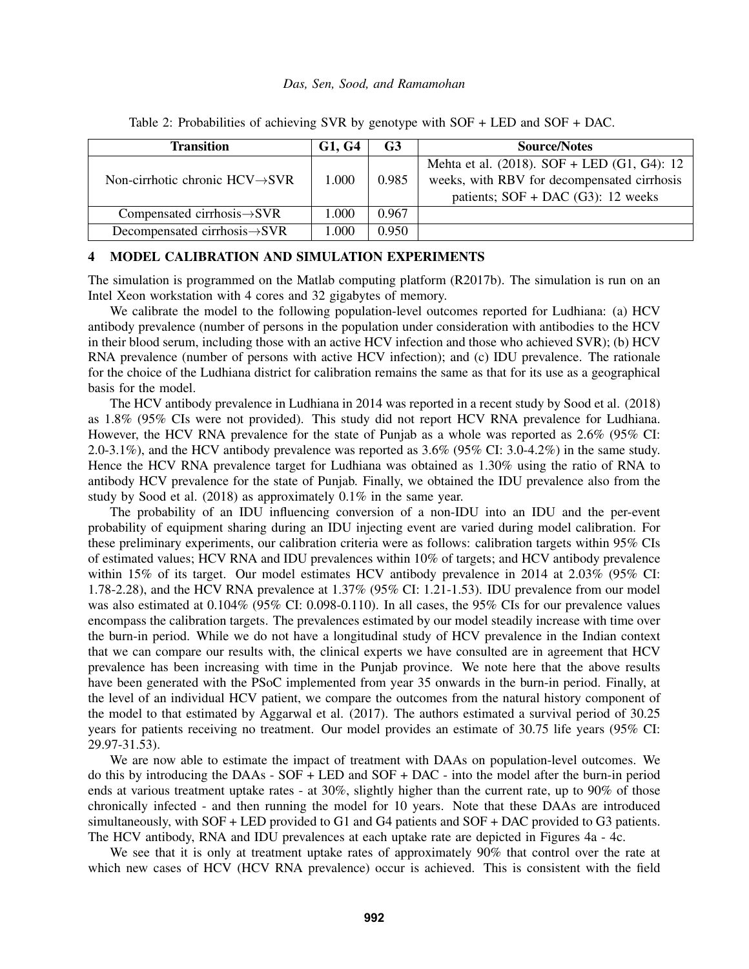| <b>Transition</b>                           | G1, G4 | G3    | <b>Source/Notes</b>                               |
|---------------------------------------------|--------|-------|---------------------------------------------------|
|                                             |        |       | Mehta et al. $(2018)$ . SOF + LED $(G1, G4)$ : 12 |
| Non-cirrhotic chronic $HCV \rightarrow SVR$ | 1.000  | 0.985 | weeks, with RBV for decompensated cirrhosis       |
|                                             |        |       | patients; $SOF + DAC$ (G3): 12 weeks              |
| Compensated cirrhosis $\rightarrow$ SVR     | 1.000  | 0.967 |                                                   |
| Decompensated cirrhosis $\rightarrow$ SVR   | 1.000  | 0.950 |                                                   |

Table 2: Probabilities of achieving SVR by genotype with SOF + LED and SOF + DAC.

# <span id="page-8-0"></span>4 MODEL CALIBRATION AND SIMULATION EXPERIMENTS

The simulation is programmed on the Matlab computing platform (R2017b). The simulation is run on an Intel Xeon workstation with 4 cores and 32 gigabytes of memory.

We calibrate the model to the following population-level outcomes reported for Ludhiana: (a) HCV antibody prevalence (number of persons in the population under consideration with antibodies to the HCV in their blood serum, including those with an active HCV infection and those who achieved SVR); (b) HCV RNA prevalence (number of persons with active HCV infection); and (c) IDU prevalence. The rationale for the choice of the Ludhiana district for calibration remains the same as that for its use as a geographical basis for the model.

The HCV antibody prevalence in Ludhiana in 2014 was reported in a recent study by [Sood et al. \(2018\)](#page-11-3) as 1.8% (95% CIs were not provided). This study did not report HCV RNA prevalence for Ludhiana. However, the HCV RNA prevalence for the state of Punjab as a whole was reported as 2.6% (95% CI: 2.0-3.1%), and the HCV antibody prevalence was reported as 3.6% (95% CI: 3.0-4.2%) in the same study. Hence the HCV RNA prevalence target for Ludhiana was obtained as 1.30% using the ratio of RNA to antibody HCV prevalence for the state of Punjab. Finally, we obtained the IDU prevalence also from the study by [Sood et al. \(2018\)](#page-11-3) as approximately 0.1% in the same year.

The probability of an IDU influencing conversion of a non-IDU into an IDU and the per-event probability of equipment sharing during an IDU injecting event are varied during model calibration. For these preliminary experiments, our calibration criteria were as follows: calibration targets within 95% CIs of estimated values; HCV RNA and IDU prevalences within 10% of targets; and HCV antibody prevalence within 15% of its target. Our model estimates HCV antibody prevalence in 2014 at 2.03% (95% CI: 1.78-2.28), and the HCV RNA prevalence at 1.37% (95% CI: 1.21-1.53). IDU prevalence from our model was also estimated at 0.104% (95% CI: 0.098-0.110). In all cases, the 95% CIs for our prevalence values encompass the calibration targets. The prevalences estimated by our model steadily increase with time over the burn-in period. While we do not have a longitudinal study of HCV prevalence in the Indian context that we can compare our results with, the clinical experts we have consulted are in agreement that HCV prevalence has been increasing with time in the Punjab province. We note here that the above results have been generated with the PSoC implemented from year 35 onwards in the burn-in period. Finally, at the level of an individual HCV patient, we compare the outcomes from the natural history component of the model to that estimated by [Aggarwal et al. \(2017\).](#page-10-4) The authors estimated a survival period of 30.25 years for patients receiving no treatment. Our model provides an estimate of 30.75 life years (95% CI: 29.97-31.53).

We are now able to estimate the impact of treatment with DAAs on population-level outcomes. We do this by introducing the DAAs - SOF + LED and SOF + DAC - into the model after the burn-in period ends at various treatment uptake rates - at 30%, slightly higher than the current rate, up to 90% of those chronically infected - and then running the model for 10 years. Note that these DAAs are introduced simultaneously, with SOF + LED provided to G1 and G4 patients and SOF + DAC provided to G3 patients. The HCV antibody, RNA and IDU prevalences at each uptake rate are depicted in Figures [4a](#page-9-0) - [4c.](#page-9-0)

We see that it is only at treatment uptake rates of approximately 90% that control over the rate at which new cases of HCV (HCV RNA prevalence) occur is achieved. This is consistent with the field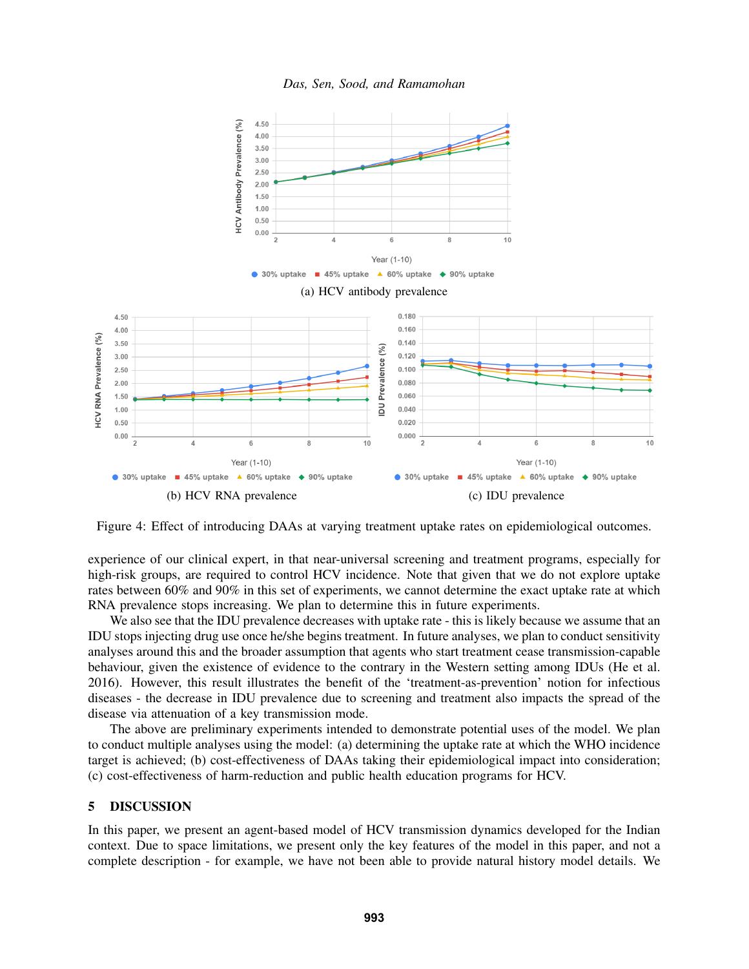

<span id="page-9-0"></span>

Figure 4: Effect of introducing DAAs at varying treatment uptake rates on epidemiological outcomes.

experience of our clinical expert, in that near-universal screening and treatment programs, especially for high-risk groups, are required to control HCV incidence. Note that given that we do not explore uptake rates between 60% and 90% in this set of experiments, we cannot determine the exact uptake rate at which RNA prevalence stops increasing. We plan to determine this in future experiments.

We also see that the IDU prevalence decreases with uptake rate - this is likely because we assume that an IDU stops injecting drug use once he/she begins treatment. In future analyses, we plan to conduct sensitivity analyses around this and the broader assumption that agents who start treatment cease transmission-capable behaviour, given the existence of evidence to the contrary in the Western setting among IDUs [\(He et al.](#page-11-4) [2016\)](#page-11-4). However, this result illustrates the benefit of the 'treatment-as-prevention' notion for infectious diseases - the decrease in IDU prevalence due to screening and treatment also impacts the spread of the disease via attenuation of a key transmission mode.

The above are preliminary experiments intended to demonstrate potential uses of the model. We plan to conduct multiple analyses using the model: (a) determining the uptake rate at which the WHO incidence target is achieved; (b) cost-effectiveness of DAAs taking their epidemiological impact into consideration; (c) cost-effectiveness of harm-reduction and public health education programs for HCV.

# 5 DISCUSSION

In this paper, we present an agent-based model of HCV transmission dynamics developed for the Indian context. Due to space limitations, we present only the key features of the model in this paper, and not a complete description - for example, we have not been able to provide natural history model details. We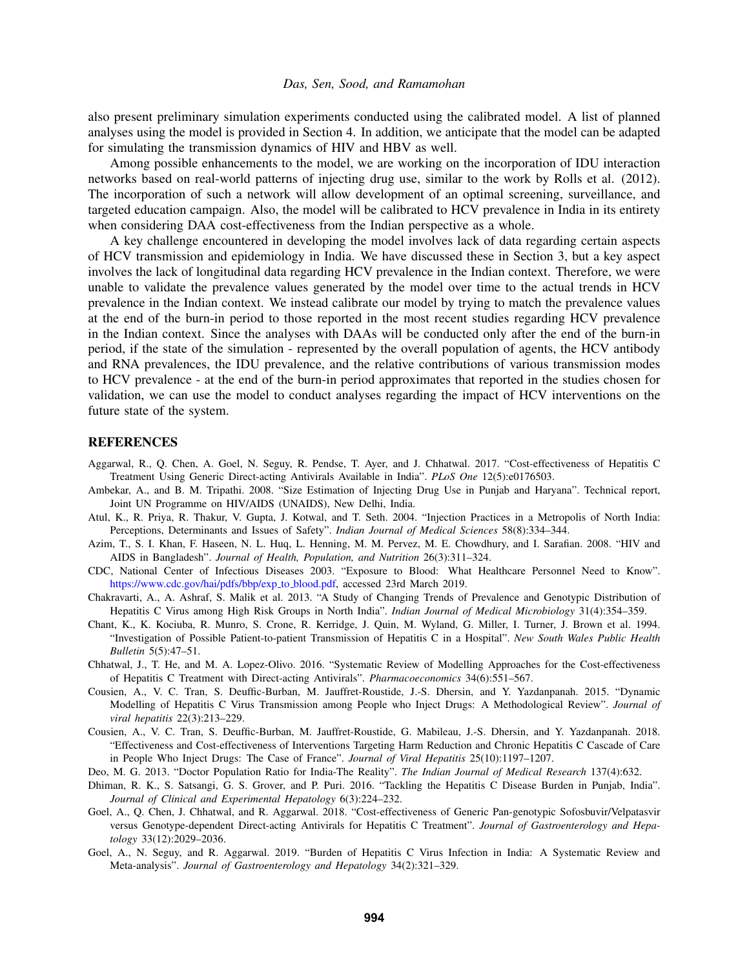also present preliminary simulation experiments conducted using the calibrated model. A list of planned analyses using the model is provided in Section [4.](#page-8-0) In addition, we anticipate that the model can be adapted for simulating the transmission dynamics of HIV and HBV as well.

Among possible enhancements to the model, we are working on the incorporation of IDU interaction networks based on real-world patterns of injecting drug use, similar to the work by [Rolls et al. \(2012\).](#page-11-14) The incorporation of such a network will allow development of an optimal screening, surveillance, and targeted education campaign. Also, the model will be calibrated to HCV prevalence in India in its entirety when considering DAA cost-effectiveness from the Indian perspective as a whole.

A key challenge encountered in developing the model involves lack of data regarding certain aspects of HCV transmission and epidemiology in India. We have discussed these in Section [3,](#page-2-1) but a key aspect involves the lack of longitudinal data regarding HCV prevalence in the Indian context. Therefore, we were unable to validate the prevalence values generated by the model over time to the actual trends in HCV prevalence in the Indian context. We instead calibrate our model by trying to match the prevalence values at the end of the burn-in period to those reported in the most recent studies regarding HCV prevalence in the Indian context. Since the analyses with DAAs will be conducted only after the end of the burn-in period, if the state of the simulation - represented by the overall population of agents, the HCV antibody and RNA prevalences, the IDU prevalence, and the relative contributions of various transmission modes to HCV prevalence - at the end of the burn-in period approximates that reported in the studies chosen for validation, we can use the model to conduct analyses regarding the impact of HCV interventions on the future state of the system.

## REFERENCES

- <span id="page-10-4"></span>Aggarwal, R., Q. Chen, A. Goel, N. Seguy, R. Pendse, T. Ayer, and J. Chhatwal. 2017. "Cost-effectiveness of Hepatitis C Treatment Using Generic Direct-acting Antivirals Available in India". *PLoS One* 12(5):e0176503.
- <span id="page-10-8"></span>Ambekar, A., and B. M. Tripathi. 2008. "Size Estimation of Injecting Drug Use in Punjab and Haryana". Technical report, Joint UN Programme on HIV/AIDS (UNAIDS), New Delhi, India.
- <span id="page-10-9"></span>Atul, K., R. Priya, R. Thakur, V. Gupta, J. Kotwal, and T. Seth. 2004. "Injection Practices in a Metropolis of North India: Perceptions, Determinants and Issues of Safety". *Indian Journal of Medical Sciences* 58(8):334–344.
- <span id="page-10-13"></span>Azim, T., S. I. Khan, F. Haseen, N. L. Huq, L. Henning, M. M. Pervez, M. E. Chowdhury, and I. Sarafian. 2008. "HIV and AIDS in Bangladesh". *Journal of Health, Population, and Nutrition* 26(3):311–324.
- <span id="page-10-12"></span>CDC, National Center of Infectious Diseases 2003. "Exposure to Blood: What Healthcare Personnel Need to Know". [https://www.cdc.gov/hai/pdfs/bbp/exp](https://www.cdc.gov/hai/pdfs/bbp/exp_to_blood.pdf) to blood.pdf, accessed 23rd March 2019.
- <span id="page-10-7"></span>Chakravarti, A., A. Ashraf, S. Malik et al. 2013. "A Study of Changing Trends of Prevalence and Genotypic Distribution of Hepatitis C Virus among High Risk Groups in North India". *Indian Journal of Medical Microbiology* 31(4):354–359.
- <span id="page-10-11"></span>Chant, K., K. Kociuba, R. Munro, S. Crone, R. Kerridge, J. Quin, M. Wyland, G. Miller, I. Turner, J. Brown et al. 1994. "Investigation of Possible Patient-to-patient Transmission of Hepatitis C in a Hospital". *New South Wales Public Health Bulletin* 5(5):47–51.
- <span id="page-10-3"></span>Chhatwal, J., T. He, and M. A. Lopez-Olivo. 2016. "Systematic Review of Modelling Approaches for the Cost-effectiveness of Hepatitis C Treatment with Direct-acting Antivirals". *Pharmacoeconomics* 34(6):551–567.
- <span id="page-10-2"></span>Cousien, A., V. C. Tran, S. Deuffic-Burban, M. Jauffret-Roustide, J.-S. Dhersin, and Y. Yazdanpanah. 2015. "Dynamic Modelling of Hepatitis C Virus Transmission among People who Inject Drugs: A Methodological Review". *Journal of viral hepatitis* 22(3):213–229.
- <span id="page-10-6"></span>Cousien, A., V. C. Tran, S. Deuffic-Burban, M. Jauffret-Roustide, G. Mabileau, J.-S. Dhersin, and Y. Yazdanpanah. 2018. "Effectiveness and Cost-effectiveness of Interventions Targeting Harm Reduction and Chronic Hepatitis C Cascade of Care in People Who Inject Drugs: The Case of France". *Journal of Viral Hepatitis* 25(10):1197–1207.
- <span id="page-10-10"></span>Deo, M. G. 2013. "Doctor Population Ratio for India-The Reality". *The Indian Journal of Medical Research* 137(4):632.
- <span id="page-10-0"></span>Dhiman, R. K., S. Satsangi, G. S. Grover, and P. Puri. 2016. "Tackling the Hepatitis C Disease Burden in Punjab, India". *Journal of Clinical and Experimental Hepatology* 6(3):224–232.
- <span id="page-10-5"></span>Goel, A., Q. Chen, J. Chhatwal, and R. Aggarwal. 2018. "Cost-effectiveness of Generic Pan-genotypic Sofosbuvir/Velpatasvir versus Genotype-dependent Direct-acting Antivirals for Hepatitis C Treatment". *Journal of Gastroenterology and Hepatology* 33(12):2029–2036.
- <span id="page-10-1"></span>Goel, A., N. Seguy, and R. Aggarwal. 2019. "Burden of Hepatitis C Virus Infection in India: A Systematic Review and Meta-analysis". *Journal of Gastroenterology and Hepatology* 34(2):321–329.